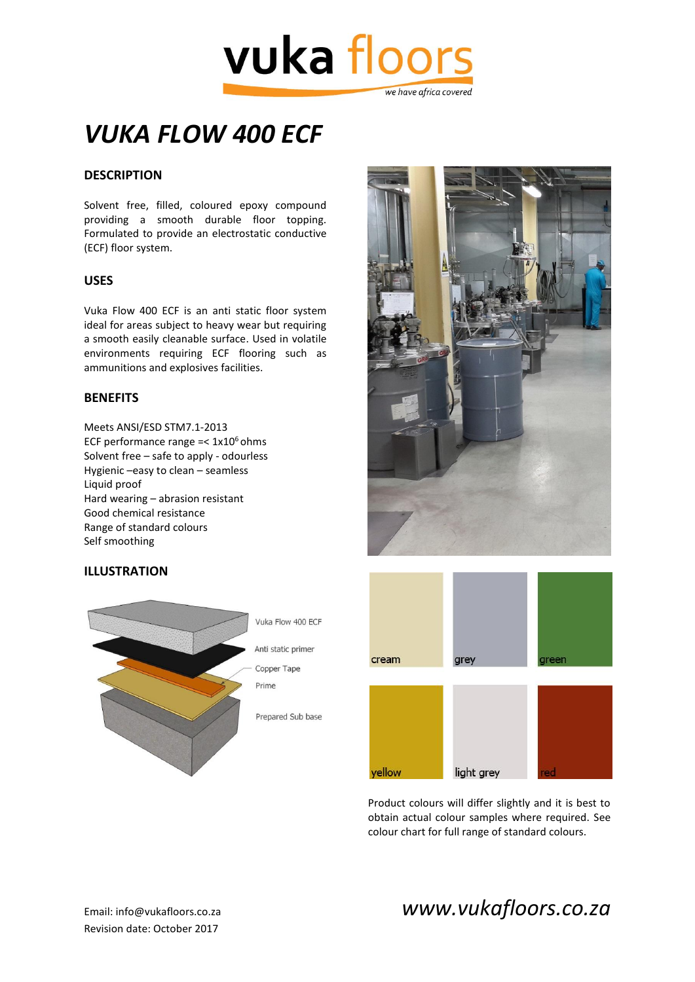

# *VUKA FLOW 400 ECF*

## **DESCRIPTION**

Solvent free, filled, coloured epoxy compound providing a smooth durable floor topping. Formulated to provide an electrostatic conductive (ECF) floor system.

#### **USES**

Vuka Flow 400 ECF is an anti static floor system ideal for areas subject to heavy wear but requiring a smooth easily cleanable surface. Used in volatile environments requiring ECF flooring such as ammunitions and explosives facilities.

#### **BENEFITS**

Meets ANSI/ESD STM7.1-2013 ECF performance range  $=< 1x10^6$  ohms Solvent free – safe to apply - odourless Hygienic –easy to clean – seamless Liquid proof Hard wearing – abrasion resistant Good chemical resistance Range of standard colours Self smoothing

### **ILLUSTRATION**







Product colours will differ slightly and it is best to obtain actual colour samples where required. See colour chart for full range of standard colours.

# Email: info@vukafloors.co.za *www.vukafloors.co.za*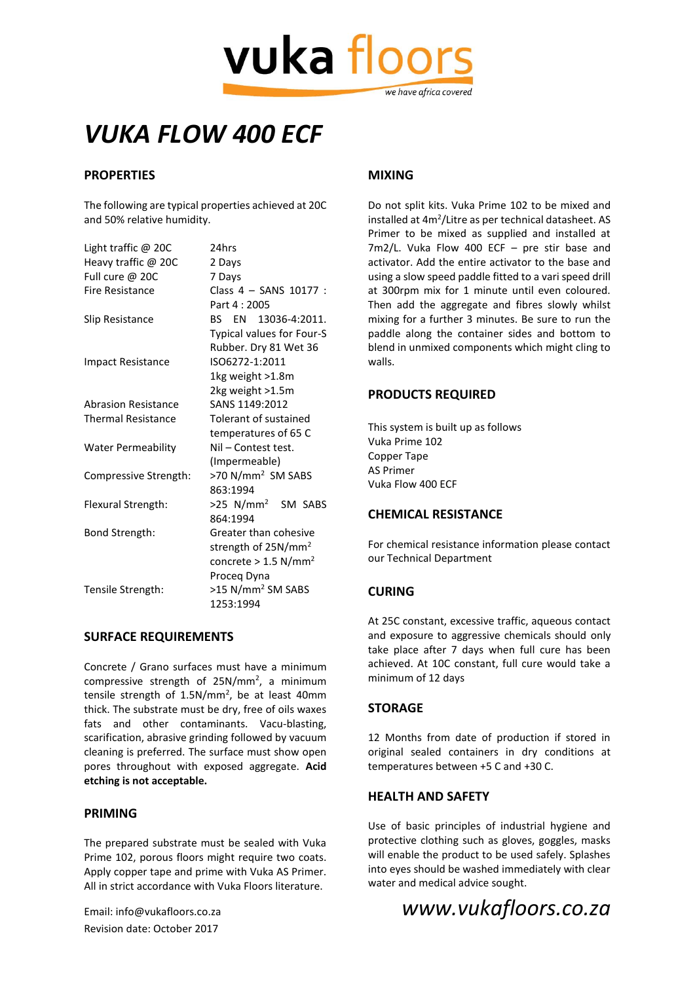

# *VUKA FLOW 400 ECF*

### **PROPERTIES**

The following are typical properties achieved at 20C and 50% relative humidity.

| Light traffic $@$ 20C     | 24hrs                              |
|---------------------------|------------------------------------|
| Heavy traffic @ 20C       | 2 Days                             |
| Full cure @ 20C           | 7 Days                             |
| Fire Resistance           | Class 4 - SANS 10177 :             |
|                           | Part 4:2005                        |
| Slip Resistance           | BS EN 13036-4:2011.                |
|                           | Typical values for Four-S          |
|                           | Rubber. Dry 81 Wet 36              |
| <b>Impact Resistance</b>  | ISO6272-1:2011                     |
|                           | 1kg weight >1.8m                   |
|                           | 2kg weight >1.5m                   |
| Abrasion Resistance       | SANS 1149:2012                     |
| <b>Thermal Resistance</b> | Tolerant of sustained              |
|                           | temperatures of 65 C               |
| <b>Water Permeability</b> | Nil - Contest test.                |
|                           | (Impermeable)                      |
| Compressive Strength:     | >70 N/mm <sup>2</sup> SM SABS      |
|                           | 863:1994                           |
| Flexural Strength:        | >25 N/mm <sup>2</sup> SM SABS      |
|                           | 864:1994                           |
| Bond Strength:            | Greater than cohesive              |
|                           | strength of 25N/mm <sup>2</sup>    |
|                           | concrete > $1.5$ N/mm <sup>2</sup> |
|                           | Proceg Dyna                        |
| Tensile Strength:         | >15 N/mm <sup>2</sup> SM SABS      |
|                           | 1253:1994                          |

#### **SURFACE REQUIREMENTS**

Concrete / Grano surfaces must have a minimum compressive strength of 25N/mm<sup>2</sup>, a minimum tensile strength of  $1.5N/mm^2$ , be at least 40mm thick. The substrate must be dry, free of oils waxes fats and other contaminants. Vacu-blasting, scarification, abrasive grinding followed by vacuum cleaning is preferred. The surface must show open pores throughout with exposed aggregate. **Acid etching is not acceptable.**

#### **PRIMING**

The prepared substrate must be sealed with Vuka Prime 102, porous floors might require two coats. Apply copper tape and prime with Vuka AS Primer. All in strict accordance with Vuka Floors literature.

Revision date: October 2017

### **MIXING**

Do not split kits. Vuka Prime 102 to be mixed and installed at 4m<sup>2</sup>/Litre as per technical datasheet. AS Primer to be mixed as supplied and installed at 7m2/L. Vuka Flow 400 ECF – pre stir base and activator. Add the entire activator to the base and using a slow speed paddle fitted to a vari speed drill at 300rpm mix for 1 minute until even coloured. Then add the aggregate and fibres slowly whilst mixing for a further 3 minutes. Be sure to run the paddle along the container sides and bottom to blend in unmixed components which might cling to walls.

#### **PRODUCTS REQUIRED**

This system is built up as follows Vuka Prime 102 Copper Tape AS Primer Vuka Flow 400 ECF

#### **CHEMICAL RESISTANCE**

For chemical resistance information please contact our Technical Department

#### **CURING**

At 25C constant, excessive traffic, aqueous contact and exposure to aggressive chemicals should only take place after 7 days when full cure has been achieved. At 10C constant, full cure would take a minimum of 12 days

#### **STORAGE**

12 Months from date of production if stored in original sealed containers in dry conditions at temperatures between +5 C and +30 C.

#### **HEALTH AND SAFETY**

Use of basic principles of industrial hygiene and protective clothing such as gloves, goggles, masks will enable the product to be used safely. Splashes into eyes should be washed immediately with clear water and medical advice sought.

## Email: info@vukafloors.co.za *www.vukafloors.co.za*